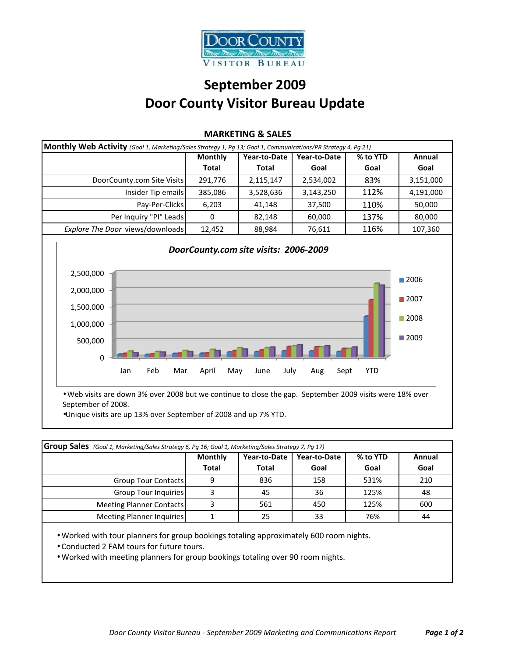

## **September 2009 Door County Visitor Bureau Update**

| Monthly Web Activity (Goal 1, Marketing/Sales Strategy 1, Pg 13; Goal 1, Communications/PR Strategy 4, Pg 21) |                                                                                                                                  |              |          |           |  |
|---------------------------------------------------------------------------------------------------------------|----------------------------------------------------------------------------------------------------------------------------------|--------------|----------|-----------|--|
| <b>Monthly</b>                                                                                                | Year-to-Date                                                                                                                     | Year-to-Date | % to YTD | Annual    |  |
| <b>Total</b>                                                                                                  | Total                                                                                                                            | Goal         | Goal     | Goal      |  |
| 291.776                                                                                                       | 2,115,147                                                                                                                        | 2,534,002    | 83%      | 3,151,000 |  |
| 385,086                                                                                                       | 3,528,636                                                                                                                        | 3,143,250    | 112%     | 4,191,000 |  |
| 6,203                                                                                                         | 41.148                                                                                                                           | 37,500       | 110%     | 50,000    |  |
| $\Omega$                                                                                                      | 82,148                                                                                                                           | 60,000       | 137%     | 80,000    |  |
| 12,452                                                                                                        | 88,984                                                                                                                           | 76,611       | 116%     | 107,360   |  |
|                                                                                                               | DoorCounty.com Site Visits<br>Insider Tip emails<br>Pay-Per-Clicks<br>Per Inquiry "PI" Leads<br>Explore The Door views/downloads |              |          |           |  |

## **MARKETING & SALES**



• Web visits are down 3% over 2008 but we continue to close the gap. September 2009 visits were 18% over September of 2008.

•Unique visits are up 13% over September of 2008 and up 7% YTD.

| Group Sales (Goal 1, Marketing/Sales Strategy 6, Pg 16; Goal 1, Marketing/Sales Strategy 7, Pg 17) |                |              |              |          |        |
|----------------------------------------------------------------------------------------------------|----------------|--------------|--------------|----------|--------|
|                                                                                                    | <b>Monthly</b> | Year-to-Date | Year-to-Date | % to YTD | Annual |
|                                                                                                    | Total          | <b>Total</b> | Goal         | Goal     | Goal   |
| <b>Group Tour Contacts</b>                                                                         |                | 836          | 158          | 531%     | 210    |
| Group Tour Inquiries                                                                               |                | 45           | 36           | 125%     | 48     |
| <b>Meeting Planner Contacts</b>                                                                    |                | 561          | 450          | 125%     | 600    |
| Meeting Planner Inquiries                                                                          |                | 25           | 33           | 76%      | 44     |

• Worked with tour planners for group bookings totaling approximately 600 room nights.

- Conducted 2 FAM tours for future tours.
- Worked with meeting planners for group bookings totaling over 90 room nights.